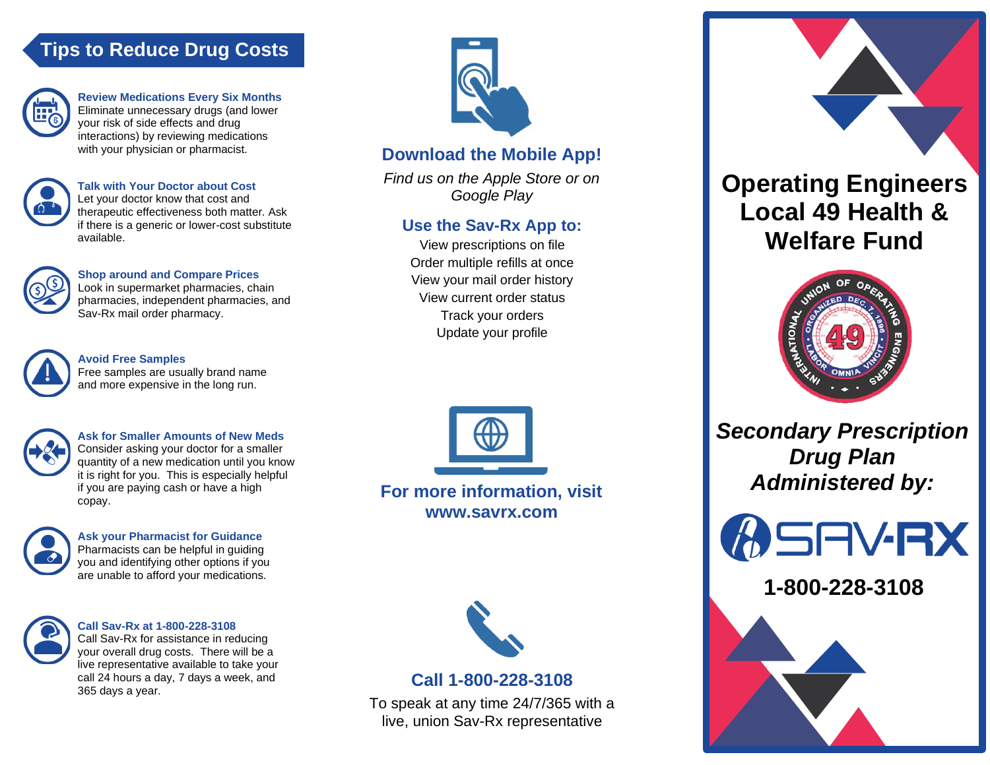# **Tips to Reduce Drug Costs**



**Review Medications Every Six Months** Eliminate unnecessary drugs (and lower your risk of side effects and drug interactions) by reviewing medications with your physician or pharmacist.



**Talk with Your Doctor about Cost** Let your doctor know that cost and therapeutic effectiveness both matter. Ask if there is a generic or lower-cost substitute available.



**Shop around and Compare Prices** Look in supermarket pharmacies, chain pharmacies, independent pharmacies, and Sav-Rx mail order pharmacy.



**Avoid Free Samples**

Free samples are usually brand name and more expensive in the long run.



**Ask for Smaller Amounts of New Meds** Consider asking your doctor for a smaller quantity of a new medication until you know it is right for you. This is especially helpful if you are paying cash or have a high copay.



**Ask your Pharmacist for Guidance** Pharmacists can be helpful in guiding you and identifying other options if you are unable to afford your medications.



**Call Sav-Rx at 1-800-228-3108** Call Sav-Rx for assistance in reducing

your overall drug costs. There will be a live representative available to take your call 24 hours a day, 7 days a week, and 365 days a year.



## **Download the Mobile App!**

*Find us on the Apple Store or on Google Play*

## **Use the Sav-Rx App to:**

View prescriptions on file Order multiple refills at once View your mail order history View current order status Track your orders Update your profile



**For more information, visit www.savrx.com**



## **Call 1-800-228-3108**

To speak at any time 24/7/365 with a live, union Sav-Rx representative





*Secondary Prescription Drug Plan Administered by:*



**1-800-228-3108**